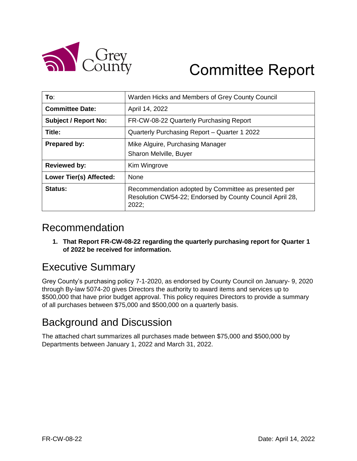

# Committee Report

| To:                         | Warden Hicks and Members of Grey County Council                                                                           |  |  |  |
|-----------------------------|---------------------------------------------------------------------------------------------------------------------------|--|--|--|
| <b>Committee Date:</b>      | April 14, 2022                                                                                                            |  |  |  |
| <b>Subject / Report No:</b> | FR-CW-08-22 Quarterly Purchasing Report                                                                                   |  |  |  |
| Title:                      | Quarterly Purchasing Report - Quarter 1 2022                                                                              |  |  |  |
| <b>Prepared by:</b>         | Mike Alguire, Purchasing Manager                                                                                          |  |  |  |
|                             | Sharon Melville, Buyer                                                                                                    |  |  |  |
| <b>Reviewed by:</b>         | Kim Wingrove                                                                                                              |  |  |  |
| Lower Tier(s) Affected:     | <b>None</b>                                                                                                               |  |  |  |
| Status:                     | Recommendation adopted by Committee as presented per<br>Resolution CW54-22; Endorsed by County Council April 28,<br>2022; |  |  |  |

## Recommendation

**1. That Report FR-CW-08-22 regarding the quarterly purchasing report for Quarter 1 of 2022 be received for information.**

# Executive Summary

Grey County's purchasing policy 7-1-2020, as endorsed by County Council on January- 9, 2020 through By-law 5074-20 gives Directors the authority to award items and services up to \$500,000 that have prior budget approval. This policy requires Directors to provide a summary of all purchases between \$75,000 and \$500,000 on a quarterly basis.

# Background and Discussion

The attached chart summarizes all purchases made between \$75,000 and \$500,000 by Departments between January 1, 2022 and March 31, 2022.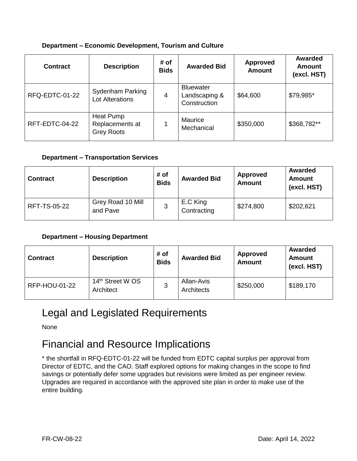#### **Department – Economic Development, Tourism and Culture**

| <b>Contract</b> | <b>Description</b>                                | # of<br><b>Bids</b> | <b>Awarded Bid</b>                                | <b>Approved</b><br><b>Amount</b> | <b>Awarded</b><br><b>Amount</b><br>(excl. HST) |
|-----------------|---------------------------------------------------|---------------------|---------------------------------------------------|----------------------------------|------------------------------------------------|
| RFQ-EDTC-01-22  | <b>Sydenham Parking</b><br><b>Lot Alterations</b> | 4                   | <b>Bluewater</b><br>Landscaping &<br>Construction | \$64,600                         | \$79,985*                                      |
| RFT-EDTC-04-22  | Heat Pump<br>Replacements at<br><b>Grey Roots</b> |                     | Maurice<br>Mechanical                             | \$350,000                        | \$368,782**                                    |

#### **Department – Transportation Services**

| <b>Contract</b> | <b>Description</b>            | # of<br><b>Bids</b> | <b>Awarded Bid</b>      | Approved<br><b>Amount</b> | <b>Awarded</b><br>Amount<br>(excl. HST) |
|-----------------|-------------------------------|---------------------|-------------------------|---------------------------|-----------------------------------------|
| RFT-TS-05-22    | Grey Road 10 Mill<br>and Pave | 3                   | E.C King<br>Contracting | \$274,800                 | \$202,621                               |

#### **Department – Housing Department**

| <b>Contract</b>      | <b>Description</b>                        | # of<br><b>Bids</b> | <b>Awarded Bid</b>       | Approved<br><b>Amount</b> | Awarded<br>Amount<br>(excl. HST) |
|----------------------|-------------------------------------------|---------------------|--------------------------|---------------------------|----------------------------------|
| <b>RFP-HOU-01-22</b> | 14 <sup>th</sup> Street W OS<br>Architect | 3                   | Allan-Avis<br>Architects | \$250,000                 | \$189,170                        |

## Legal and Legislated Requirements

None

## Financial and Resource Implications

\* the shortfall in RFQ-EDTC-01-22 will be funded from EDTC capital surplus per approval from Director of EDTC, and the CAO. Staff explored options for making changes in the scope to find savings or potentially defer some upgrades but revisions were limited as per engineer review. Upgrades are required in accordance with the approved site plan in order to make use of the entire building.